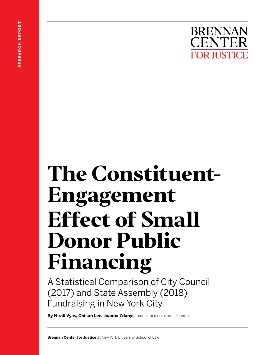# **The Constituent-Engagement Effect of Small Donor Public Financing**

A Statistical Comparison of City Council (2017) and State Assembly (2018) Fundraising in New York City

**By Nirali Vyas, Chisun Lee, Joanna Zdanys** PUBLISHED SEPTEMBER 9, 2019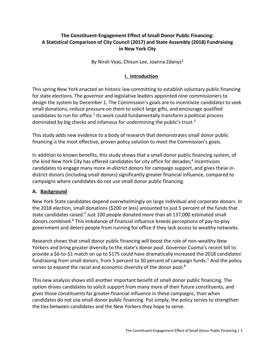# **The Constituent-Engagement Effect of Small Donor Public Financing: A Statistical Comparison of City Council (2017) and State Assembly (2018) Fundraising in New York City**

By Nirali Vyas, Chisun Lee, Joanna Zdanys<sup>1</sup>

# **I. Introduction**

This spring New York enacted an historic law committing to establish voluntary public financing for state elections. The governor and legislative leaders appointed nine commissioners to design the system by December 1. The Commission's goals are to incentivize candidates to seek small donations, reduce pressure on them to solicit large gifts, and encourage qualified candidates to run for office.<sup>2</sup> Its work could fundamentally transform a political process dominated by big checks and infamous for undermining the public's trust.<sup>3</sup>

This study adds new evidence to a body of research that demonstrates small donor public financing is the most effective, proven policy solution to meet the Commission's goals.

In addition to known benefits, this study shows that a small donor public financing system, of the kind New York City has offered candidates for city office for decades,<sup>4</sup> incentivizes candidates to engage many more *in-district donors* for campaign support, and gives these indistrict donors (including small donors) significantly greater financial influence, compared to campaigns where candidates do not use small donor public financing.

## **A. Background**

New York State candidates depend overwhelmingly on large individual and corporate donors. In the 2018 election, small donations (\$200 or less) amounted to just 5 percent of the funds that state candidates raised.<sup>5</sup> Just 100 people donated more than all 137,000 estimated small donors combined.<sup>6</sup> This imbalance of financial influence breeds perceptions of pay-to-play government and deters people from running for office if they lack access to wealthy networks.

Research shows that small donor public financing will boost the role of non-wealthy New Yorkers and bring greater diversity to the state's donor pool. Governor Cuomo's recent bill to provide a \$6-to-\$1 match on up to \$175 could have dramatically increased the 2018 candidates' fundraising from small donors, from 5 percent to 30 percent of campaign funds.<sup>7</sup> And the policy serves to expand the racial and economic diversity of the donor pool.<sup>8</sup>

This new analysis shows still another important benefit of small donor public financing. The option drives candidates to solicit support from many more of their future constituents, and gives those constituents far greater financial influence in these campaigns, than when candidates do not use small donor public financing. Put simply, the policy serves to strengthen the ties between candidates and the New Yorkers they hope to serve.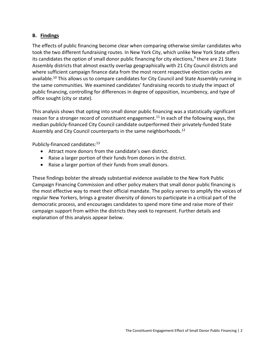#### **B. Findings**

The effects of public financing become clear when comparing otherwise similar candidates who took the two different fundraising routes. In New York City, which unlike New York State offers its candidates the option of small donor public financing for city elections,<sup>9</sup> there are 21 State Assembly districts that almost exactly overlap geographically with 21 City Council districts and where sufficient campaign finance data from the most recent respective election cycles are available.<sup>10</sup> This allows us to compare candidates for City Council and State Assembly running in the same communities. We examined candidates' fundraising records to study the impact of public financing, controlling for differences in degree of opposition, incumbency, and type of office sought (city or state).

This analysis shows that opting into small donor public financing was a statistically significant reason for a stronger record of constituent engagement.<sup>11</sup> In each of the following ways, the median publicly-financed City Council candidate outperformed their privately-funded State Assembly and City Council counterparts in the same neighborhoods.<sup>12</sup>

Publicly-financed candidates:<sup>13</sup>

- Attract more donors from the candidate's own district.
- Raise a larger portion of their funds from donors in the district.
- Raise a larger portion of their funds from small donors.

These findings bolster the already substantial evidence available to the New York Public Campaign Financing Commission and other policy makers that small donor public financing is the most effective way to meet their official mandate. The policy serves to amplify the voices of regular New Yorkers, brings a greater diversity of donors to participate in a critical part of the democratic process, and encourages candidates to spend more time and raise more of their campaign support from within the districts they seek to represent. Further details and explanation of this analysis appear below.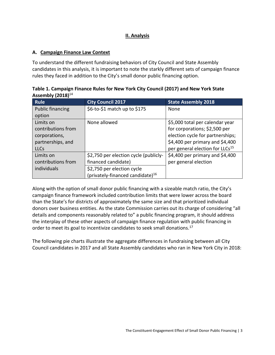# **II. Analysis**

# **A. Campaign Finance Law Context**

To understand the different fundraising behaviors of City Council and State Assembly candidates in this analysis, it is important to note the starkly different sets of campaign finance rules they faced in addition to the City's small donor public financing option.

| Table 1. Campaign Finance Rules for New York City Council (2017) and New York State |                   |                     |  |  |
|-------------------------------------------------------------------------------------|-------------------|---------------------|--|--|
| Assembly $(2018)^{14}$                                                              |                   |                     |  |  |
| <b>Rule</b>                                                                         | City Council 2017 | State Accembly 2018 |  |  |

| <b>Rule</b>             | <b>City Council 2017</b>                     | <b>State Assembly 2018</b>                  |
|-------------------------|----------------------------------------------|---------------------------------------------|
| <b>Public financing</b> | \$6-to-\$1 match up to \$175                 | <b>None</b>                                 |
| option                  |                                              |                                             |
| Limits on               | None allowed                                 | \$5,000 total per calendar year             |
| contributions from      |                                              | for corporations; \$2,500 per               |
| corporations,           |                                              | election cycle for partnerships;            |
| partnerships, and       |                                              | \$4,400 per primary and \$4,400             |
| <b>LLCs</b>             |                                              | per general election for LLCs <sup>15</sup> |
| Limits on               | \$2,750 per election cycle (publicly-        | \$4,400 per primary and \$4,400             |
| contributions from      | financed candidate)                          | per general election                        |
| individuals             | \$2,750 per election cycle                   |                                             |
|                         | (privately-financed candidate) <sup>16</sup> |                                             |

Along with the option of small donor public financing with a sizeable match ratio, the City's campaign finance framework included contribution limits that were lower across the board than the State's for districts of approximately the same size and that prioritized individual donors over business entities. As the state Commission carries out its charge of considering "all details and components reasonably related to" a public financing program, it should address the interplay of these other aspects of campaign finance regulation with public financing in order to meet its goal to incentivize candidates to seek small donations.<sup>17</sup>

The following pie charts illustrate the aggregate differences in fundraising between all City Council candidates in 2017 and all State Assembly candidates who ran in New York City in 2018: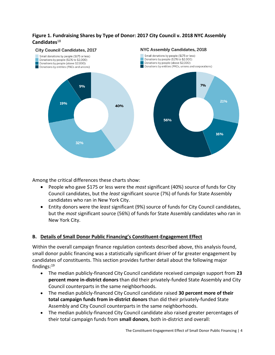# **Figure 1. Fundraising Shares by Type of Donor: 2017 City Council v. 2018 NYC Assembly Candidates**<sup>18</sup>



Among the critical differences these charts show:

- People who gave \$175 or less were the *most* significant (40%) source of funds for City Council candidates, but the *least* significant source (7%) of funds for State Assembly candidates who ran in New York City.
- Entity donors were the *least* significant (9%) source of funds for City Council candidates, but the *most* significant source (56%) of funds for State Assembly candidates who ran in New York City.

# **B. Details of Small Donor Public Financing's Constituent-Engagement Effect**

Within the overall campaign finance regulation contexts described above, this analysis found, small donor public financing was a statistically significant driver of far greater engagement by candidates of constituents. This section provides further detail about the following major findings:<sup>19</sup>

- The median publicly-financed City Council candidate received campaign support from **23 percent more in-district donors** than did their privately-funded State Assembly and City Council counterparts in the same neighborhoods.
- The median publicly-financed City Council candidate raised **30 percent more of their total campaign funds from in-district donors** than did their privately-funded State Assembly and City Council counterparts in the same neighborhoods.
- The median publicly-financed City Council candidate also raised greater percentages of their total campaign funds from **small donors**, both in-district and overall: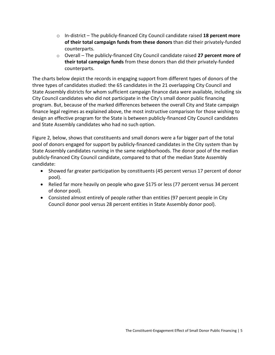- o In-district The publicly-financed City Council candidate raised **18 percent more of their total campaign funds from these donors** than did their privately-funded counterparts.
- o Overall The publicly-financed City Council candidate raised **27 percent more of their total campaign funds** from these donors than did their privately-funded counterparts.

The charts below depict the records in engaging support from different types of donors of the three types of candidates studied: the 65 candidates in the 21 overlapping City Council and State Assembly districts for whom sufficient campaign finance data were available, including six City Council candidates who did not participate in the City's small donor public financing program. But, because of the marked differences between the overall City and State campaign finance legal regimes as explained above, the most instructive comparison for those wishing to design an effective program for the State is between publicly-financed City Council candidates and State Assembly candidates who had no such option.

Figure 2, below, shows that constituents and small donors were a far bigger part of the total pool of donors engaged for support by publicly-financed candidates in the City system than by State Assembly candidates running in the same neighborhoods. The donor pool of the median publicly-financed City Council candidate, compared to that of the median State Assembly candidate:

- Showed far greater participation by constituents (45 percent versus 17 percent of donor pool).
- Relied far more heavily on people who gave \$175 or less (77 percent versus 34 percent of donor pool).
- Consisted almost entirely of people rather than entities (97 percent people in City Council donor pool versus 28 percent entities in State Assembly donor pool).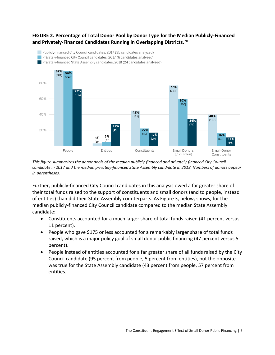# **FIGURE 2. Percentage of Total Donor Pool by Donor Type for the Median Publicly-Financed and Privately-Financed Candidates Running in Overlapping Districts.**<sup>20</sup>



*This figure summarizes the donor pools of the median publicly-financed and privately-financed City Council candidate in 2017 and the median privately-financed State Assembly candidate in 2018. Numbers of donors appear in parentheses.* 

Further, publicly-financed City Council candidates in this analysis owed a far greater share of their total funds raised to the support of constituents and small donors (and to people, instead of entities) than did their State Assembly counterparts. As Figure 3, below, shows, for the median publicly-financed City Council candidate compared to the median State Assembly candidate:

- Constituents accounted for a much larger share of total funds raised (41 percent versus 11 percent).
- People who gave \$175 or less accounted for a remarkably larger share of total funds raised, which is a major policy goal of small donor public financing (47 percent versus 5 percent).
- People instead of entities accounted for a far greater share of all funds raised by the City Council candidate (95 percent from people, 5 percent from entities), but the opposite was true for the State Assembly candidate (43 percent from people, 57 percent from entities.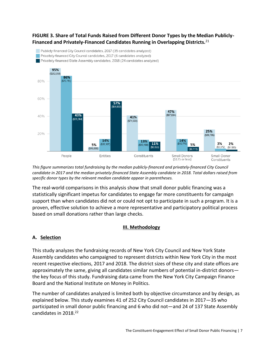# **FIGURE 3. Share of Total Funds Raised from Different Donor Types by the Median Publicly-Financed and Privately-Financed Candidates Running in Overlapping Districts.**<sup>21</sup>



*This figure summarizes total fundraising by the median publicly-financed and privately-financed City Council candidate in 2017 and the median privately-financed State Assembly candidate in 2018. Total dollars raised from specific donor types by the relevant median candidate appear in parentheses.*

The real-world comparisons in this analysis show that small donor public financing was a statistically significant impetus for candidates to engage far more constituents for campaign support than when candidates did not or could not opt to participate in such a program. It is a proven, effective solution to achieve a more representative and participatory political process based on small donations rather than large checks.

## **III. Methodology**

## **A. Selection**

This study analyzes the fundraising records of New York City Council and New York State Assembly candidates who campaigned to represent districts within New York City in the most recent respective elections, 2017 and 2018. The district sizes of these city and state offices are approximately the same, giving all candidates similar numbers of potential in-district donors the key focus of this study. Fundraising data came from the New York City Campaign Finance Board and the National Institute on Money in Politics.

The number of candidates analyzed is limited both by objective circumstance and by design, as explained below. This study examines 41 of 252 City Council candidates in 2017—35 who participated in small donor public financing and 6 who did not—and 24 of 137 State Assembly candidates in 2018.<sup>22</sup>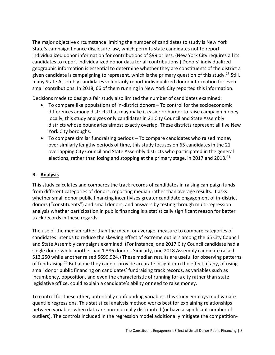The major objective circumstance limiting the number of candidates to study is New York State's campaign finance disclosure law, which permits state candidates not to report individualized donor information for contributions of \$99 or less. (New York City requires all its candidates to report individualized donor data for all contributions.) Donors' individualized geographic information is essential to determine whether they are constituents of the district a given candidate is campaigning to represent, which is the primary question of this study.<sup>23</sup> Still, many State Assembly candidates voluntarily report individualized donor information for even small contributions. In 2018, 66 of them running in New York City reported this information.

Decisions made to design a fair study also limited the number of candidates examined:

- To compare like populations of in-district donors To control for the socioeconomic differences among districts that may make it easier or harder to raise campaign money locally, this study analyzes only candidates in 21 City Council and State Assembly districts whose boundaries almost exactly overlap. These districts represent all five New York City boroughs.
- To compare similar fundraising periods To compare candidates who raised money over similarly lengthy periods of time, this study focuses on 65 candidates in the 21 overlapping City Council and State Assembly districts who participated in the general elections, rather than losing and stopping at the primary stage, in 2017 and 2018.<sup>24</sup>

## **B. Analysis**

This study calculates and compares the track records of candidates in raising campaign funds from different categories of donors, reporting median rather than average results. It asks whether small donor public financing incentivizes greater candidate engagement of in-district donors ("constituents") and small donors, and answers by testing through multi-regression analysis whether participation in public financing is a statistically significant reason for better track records in these regards.

The use of the median rather than the mean, or average, measure to compare categories of candidates intends to reduce the skewing effect of extreme outliers among the 65 City Council and State Assembly campaigns examined. (For instance, one 2017 City Council candidate had a single donor while another had 1,386 donors. Similarly, one 2018 Assembly candidate raised \$13,250 while another raised \$699,924.) These median results are useful for observing patterns of fundraising.<sup>25</sup> But alone they cannot provide accurate insight into the effect, if any, of using small donor public financing on candidates' fundraising track records, as variables such as incumbency, opposition, and even the characteristic of running for a city rather than state legislative office, could explain a candidate's ability or need to raise money.

To control for these other, potentially confounding variables, this study employs multivariate quantile regressions. This statistical analysis method works best for explaining relationships between variables when data are non-normally distributed (or have a significant number of outliers). The controls included in the regression model additionally mitigate the competition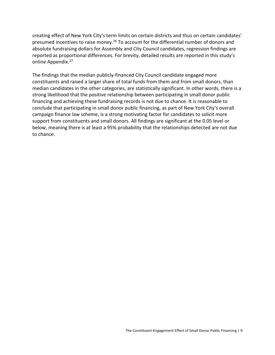creating effect of New York City's term limits on certain districts and thus on certain candidates' presumed incentives to raise money.<sup>26</sup> To account for the differential number of donors and absolute fundraising dollars for Assembly and City Council candidates, regression findings are reported as proportional differences. For brevity, detailed results are reported in this study's online Appendix.<sup>27</sup>

The findings that the median publicly-financed City Council candidate engaged more constituents and raised a larger share of total funds from them and from small donors, than median candidates in the other categories, are statistically significant. In other words, there is a strong likelihood that the positive relationship between participating in small donor public financing and achieving these fundraising records is not due to chance. It is reasonable to conclude that participating in small donor public financing, as part of New York City's overall campaign finance law scheme, is a strong motivating factor for candidates to solicit more support from constituents and small donors. All findings are significant at the 0.05 level or below, meaning there is at least a 95% probability that the relationships detected are not due to chance.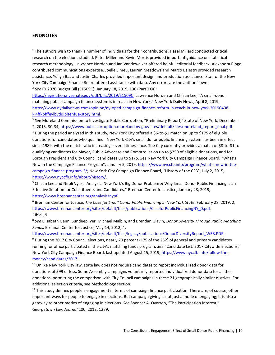#### **ENDNOTES**

<sup>1</sup> The authors wish to thank a number of individuals for their contributions. Hazel Millard conducted critical research on the elections studied. Peter Miller and Kevin Morris provided important guidance on statistical research methodology. Lawrence Norden and Ian Vandewalker offered helpful editorial feedback. Alexandra Ringe contributed communications expertise. Joëlle Simeu, Lauren Meadows and Marco Balestri provided research assistance. Yuliya Bas and Justin Charles provided important design and production assistance. Staff of the New York City Campaign Finance Board offered assistance with data. Any errors are the authors' own. 2 *See* FY 2020 Budget Bill (S1509C), January 18, 2019, 196 (Part XXX):

<https://legislation.nysenate.gov/pdf/bills/2019/S1509C>; Lawrence Norden and Chisun Lee, "A small-donor matching public campaign finance system is in reach in New York," New York Daily News, April 8, 2019, [https://www.nydailynews.com/opinion/ny-oped-campaign-finance-reform-in-reach-in-new-york-20190408](https://www.nydailynews.com/opinion/ny-oped-campaign-finance-reform-in-reach-in-new-york-20190408-kj4ffkbfffeylbvdqjpltenfue-story.html) [kj4ffkbfffeylbvdqjpltenfue-story.html.](https://www.nydailynews.com/opinion/ny-oped-campaign-finance-reform-in-reach-in-new-york-20190408-kj4ffkbfffeylbvdqjpltenfue-story.html)

<sup>3</sup> See Moreland Commission to Investigate Public Corruption, "Preliminary Report," State of New York, December 2, 2013, 30-34, [https://www.publiccorruption.moreland.ny.gov/sites/default/files/moreland\\_report\\_final.pdf.](https://www.publiccorruption.moreland.ny.gov/sites/default/files/moreland_report_final.pdf) <sup>4</sup> During the period analyzed in this study, New York City offered a \$6-to-\$1 match on up to \$175 of eligible donations for candidates who qualified. New York City's small donor public financing system has been in effect since 1989, with the match ratio increasing several times since. The City currently provides a match of \$8-to-\$1 to qualifying candidates for Mayor, Public Advocate and Comptroller on up to \$250 of eligible donations, and for Borough President and City Council candidates up to \$175. *See* New York City Campaign Finance Board, "What's New in the Campaign Finance Program", January 5, 2019, [https://www.nyccfb.info/program/what-s-new-in-the](https://www.nyccfb.info/program/what-s-new-in-the-campaign-finance-program-2/)[campaign-finance-program-2/](https://www.nyccfb.info/program/what-s-new-in-the-campaign-finance-program-2/); New York City Campaign Finance Board, "History of the CFB", July 2, 2015, [https://www.nyccfb.info/about/history/.](https://www.nyccfb.info/about/history/)

<sup>5</sup> Chisun Lee and Nirali Vyas, "Analysis: New York's Big Donor Problem & Why Small Donor Public Financing Is an Effective Solution for Constituents and Candidates," Brennan Center for Justice, January 28, 2019, [https://www.brennancenter.org/analysis/nypf.](https://www.brennancenter.org/analysis/nypf)

<sup>6</sup> Brennan Center for Justice, *The Case for Small Donor Public Financing in New York State*, February 28, 2019, 2, [https://www.brennancenter.org/sites/default/files/publications/CaseforPublicFinancingNY\\_0.pdf.](https://www.brennancenter.org/sites/default/files/publications/CaseforPublicFinancingNY_0.pdf)  $<sup>7</sup>$  Ibid., 9.</sup>

8 *See* Elisabeth Genn, Sundeep Iyer, Michael Malbin, and Brendan Glavin, *Donor Diversity Through Public Matching Funds,* Brennan Center for Justice, May 14, 2012, 4,

[https://www.brennancenter.org/sites/default/files/legacy/publications/DonorDiversityReport\\_WEB.PDF.](https://www.brennancenter.org/sites/default/files/legacy/publications/DonorDiversityReport_WEB.PDF)

<sup>9</sup> During the 2017 City Council elections, nearly 70 percent (175 of the 252) of general and primary candidates running for office participated in the city's matching funds program. *See* "Candidate List: 2017 Citywide Elections," New York City Campaign Finance Board, last updated August 15, 2019, [https://www.nyccfb.info/follow-the](https://www.nyccfb.info/follow-the-money/candidates/2017)[money/candidates/2017.](https://www.nyccfb.info/follow-the-money/candidates/2017)

<sup>10</sup> Unlike New York City law, state law does not require candidates to report individualized donor data for donations of \$99 or less. Some Assembly campaigns voluntarily reported individualized donor data for all their donations, permitting the comparison with City Council campaigns in these 21 geographically similar districts. For additional selection criteria, see Methodology section.

<sup>11</sup> This study defines people's engagement in terms of campaign finance participation. There are, of course, other important ways for people to engage in elections. But campaign giving is not just a mode of engaging; it is also a gateway to other modes of engaging in elections. *See* Spencer A. Overton, "The Participation Interest," *Georgetown Law Journal* 100, 2012: 1279,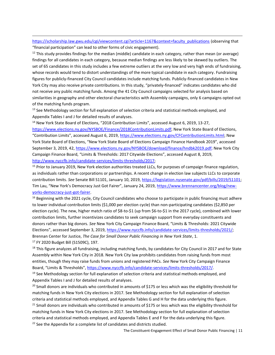[https://scholarship.law.gwu.edu/cgi/viewcontent.cgi?article=1167&context=faculty\\_publications](https://scholarship.law.gwu.edu/cgi/viewcontent.cgi?article=1167&context=faculty_publications) (observing that "financial participation" can lead to other forms of civic engagement).

 $12$  This study provides findings for the median (middle) candidate in each category, rather than mean (or average) findings for all candidates in each category, because median findings are less likely to be skewed by outliers. The set of 65 candidates in this study includes a few extreme outliers at the very low and very high ends of fundraising, whose records would tend to distort understandings of the more typical candidate in each category. Fundraising figures for publicly-financed City Council candidates include matching funds. Publicly-financed candidates in New York City may also receive private contributions. In this study, "privately-financed" indicates candidates who did not receive any public matching funds. Among the 41 City Council campaigns selected for analysis based on similarities in geography and other electoral characteristics with Assembly campaigns, only 6 campaigns opted out of the matching funds program.

<sup>13</sup> See Methodology section for full explanation of selection criteria and statistical methods employed, and Appendix Tables I and J for detailed results of analyses.

<sup>14</sup> New York State Board of Elections, "2018 Contribution Limits", accessed August 6, 2019, 13-27,

[https://www.elections.ny.gov/NYSBOE/Finance/2018ContributionLimits.pdf;](https://www.elections.ny.gov/NYSBOE/Finance/2018ContributionLimits.pdf) New York State Board of Elections, "Contribution Limits", accessed August 6, 2019, [https://www.elections.ny.gov/CFContributionLimits.html;](https://www.elections.ny.gov/CFContributionLimits.html) New York State Board of Elections, "New York State Board of Elections Campaign Finance Handbook 2019", accessed September 3, 2019, 42, [https://www.elections.ny.gov/NYSBOE/download/finance/hndbk2019.pdf;](https://www.elections.ny.gov/NYSBOE/download/finance/hndbk2019.pdf) New York City Campaign Finance Board, "Limits & Thresholds: 2017 Citywide Elections", accessed August 8, 2019, [http://www.nyccfb.info/candidate-services/limits-thresholds/2017;](http://www.nyccfb.info/candidate-services/limits-thresholds/2017)

<sup>15</sup> Prior to January 2019, New York election authorities treated LLCs, for purposes of campaign finance regulation, as individuals rather than corporations or partnerships. A recent change in election law subjects LLCs to corporate contribution limits. *See* Senate Bill S1101, January 10, 2019, [https://legislation.nysenate.gov/pdf/bills/2019/S1101;](https://legislation.nysenate.gov/pdf/bills/2019/S1101) Tim Lau, "New York's Democracy Just Got Fairer", January 24, 2019, [https://www.brennancenter.org/blog/new](https://www.brennancenter.org/blog/new-yorks-democracy-just-got-fairer)[yorks-democracy-just-got-fairer.](https://www.brennancenter.org/blog/new-yorks-democracy-just-got-fairer)

<sup>16</sup> Beginning with the 2021 cycle, City Council candidates who choose to participate in public financing must adhere to lower individual contribution limits (\$1,000 per election cycle) than non-participating candidates (\$2,850 per election cycle). The new, higher match ratio of \$8-to-\$1 (up from \$6-to-\$1 in the 2017 cycle), combined with lower contribution limits, further incentivizes candidates to seek campaign support from everyday constituents and donors rather than big donors. *See* New York City Campaign Finance Board, "Limits & Thresholds: 2021 Citywide Elections", accessed September 3, 2019, [https://www.nyccfb.info/candidate-services/limits-thresholds/2021/;](https://www.nyccfb.info/candidate-services/limits-thresholds/2021/) Brennan Center for Justice, *The Case for Small Donor Public Financing in New York State*, 1. <sup>17</sup> FY 2020 Budget Bill (S1509C), 197.

 $18$  This figure analyzes all fundraising, including matching funds, by candidates for City Council in 2017 and for State Assembly within New York City in 2018. New York City law prohibits candidates from raising funds from most entities, though they may raise funds from unions and registered PACs. *See* New York City Campaign Finance Board, "Limits & Thresholds", [https://www.nyccfb.info/candidate-services/limits-thresholds/2017/.](https://www.nyccfb.info/candidate-services/limits-thresholds/2017/)

 $19$  See Methodology section for full explanation of selection criteria and statistical methods employed, and Appendix Tables I and J for detailed results of analyses.

<sup>20</sup> Small donors are individuals who contributed in amounts of \$175 or less which was the eligibility threshold for matching funds in New York City elections in 2017. See Methodology section for full explanation of selection criteria and statistical methods employed, and Appendix Tables G and H for the data underlying this figure.

<sup>21</sup> Small donors are individuals who contributed in amounts of \$175 or less which was the eligibility threshold for matching funds in New York City elections in 2017. See Methodology section for full explanation of selection criteria and statistical methods employed, and Appendix Tables E and F for the data underlying this figure. <sup>22</sup> See the Appendix for a complete list of candidates and districts studied.

The Constituent-Engagement Effect of Small Donor Public Financing | 11